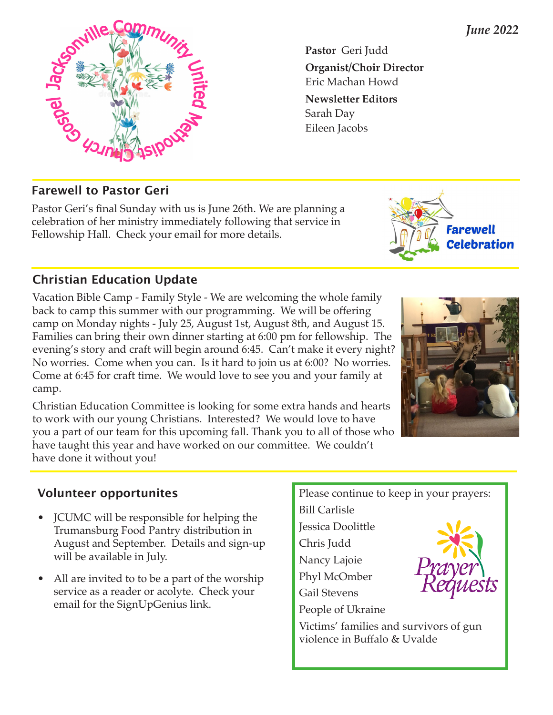**Pastor** Geri Judd **Organist/Choir Director**  Eric Machan Howd **Newsletter Editors** Sarah Day Eileen Jacobs

#### **Farewell to Pastor Geri**

Pastor Geri's final Sunday with us is June 26th. We are planning a celebration of her ministry immediately following that service in Fellowship Hall. Check your email for more details.

#### **Christian Education Update**

Vacation Bible Camp - Family Style - We are welcoming the whole family back to camp this summer with our programming. We will be offering camp on Monday nights - July 25, August 1st, August 8th, and August 15. Families can bring their own dinner starting at 6:00 pm for fellowship. The evening's story and craft will begin around 6:45. Can't make it every night? No worries. Come when you can. Is it hard to join us at 6:00? No worries. Come at 6:45 for craft time. We would love to see you and your family at camp.

Christian Education Committee is looking for some extra hands and hearts to work with our young Christians. Interested? We would love to have you a part of our team for this upcoming fall. Thank you to all of those who have taught this year and have worked on our committee. We couldn't have done it without you!

## **Volunteer opportunites**

- JCUMC will be responsible for helping the Trumansburg Food Pantry distribution in August and September. Details and sign-up will be available in July.
- All are invited to to be a part of the worship service as a reader or acolyte. Check your email for the SignUpGenius link.

Please continue to keep in your prayers:

Bill Carlisle Jessica Doolittle Chris Judd Nancy Lajoie Phyl McOmber Gail Stevens

People of Ukraine

Victims' families and survivors of gun violence in Buffalo & Uvalde